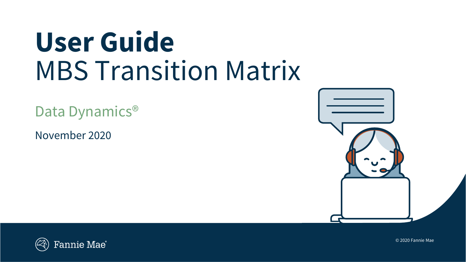# **User Guide** MBS Transition Matrix

Data Dynamics<sup>®</sup>

November 2020





© 2020 Fannie Mae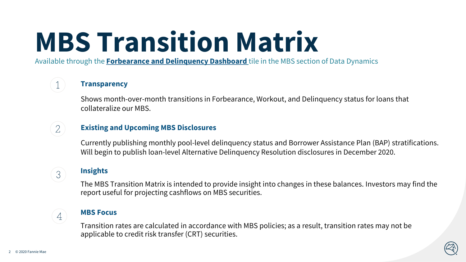# **MBS Transition Matrix**

Available through the **[Forbearance and Delinquency Dashboard](https://datadynamics.fanniemae.com/data-dynamics/#/report/21)** tile in the MBS section of Data Dynamics

## **Transparency**

Shows month-over-month transitions in Forbearance, Workout, and Delinquency status for loans that collateralize our MBS.

# **Existing and Upcoming MBS Disclosures**

Currently publishing monthly pool-level delinquency status and Borrower Assistance Plan (BAP) stratifications. Will begin to publish loan-level Alternative Delinquency Resolution disclosures in December 2020.

# 3

 $\overline{4}$ 

 $\mathcal{L}$ 

The MBS Transition Matrix is intended to provide insight into changes in these balances. Investors may find the report useful for projecting cashflows on MBS securities.

## **MBS Focus**

**Insights** 

Transition rates are calculated in accordance with MBS policies; as a result, transition rates may not be applicable to credit risk transfer (CRT) securities.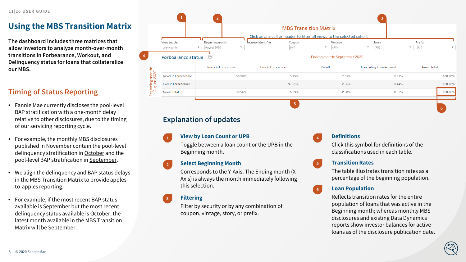# **Using the MBS Transition Matrix**

**The dashboard includes three matrices that allow investors to analyze month-over-month transitions in Forbearance, Workout, and Delinquency status for loans that collateralize our MBS.**

# **Timing of Status Reporting**

- Fannie Mae currently discloses the pool-level BAP stratification with a one-month delay relative to other disclosures, due to the timing of our servicing reporting cycle.
- For example, the monthly MBS disclosures published in November contain the pool-level delinquency stratification in October and the pool-level BAP stratification in September.
- We align the delinquency and BAP status delays in the MBS Transition Matrix to provide applesto-apples reporting.
- For example, if the most recent BAP status available is September but the most recent delinquency status available is October, the latest month available in the MBS Transition Matrix will be September.



# **Explanation of updates**

#### **View by Loan Count or UPB 1**

Toggle between a loan count or the UPB in the Beginning month.

#### **Select Beginning Month 2**

Corresponds to the Y-Axis. The Ending month (X-Axis) is always the month immediately following this selection.

### **Filtering**

**3**

Filter by security or by any combination of coupon, vintage, story, or prefix.

### **Definitions**

**4**

**5**

Click this symbol for definitions of the classifications used in each table.

### **Transition Rates**

The table illustrates transition rates as a percentage of the beginning population.

### **6 Loan Population**

Reflects transition rates for the entire population of loans that was active in the Beginning month; whereas monthly MBS disclosures and existing Data Dynamics reports show investor balances for active loans as of the disclosure publication date.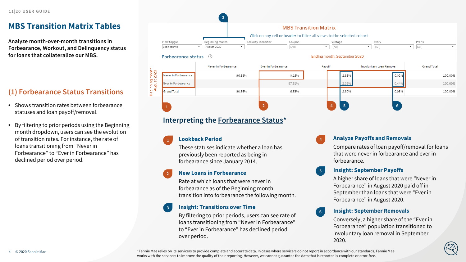# **MBS Transition Matrix Tables**

**Analyze month-over-month transitions in Forbearance, Workout, and Delinquency status for loans that collateralize our MBS.**

# **(1) Forbearance Status Transitions**

- Shows transition rates between forbearance statuses and loan payoff/removal.
- By filtering to prior periods using the Beginning month dropdown, users can see the evolution of transition rates. For instance, the rate of loans transitioning from "Never in Forbearance" to "Ever in Forbearance" has declined period over period.



#### Forbearance status (?)

#### Never in Forbearance Ever in Forbearance Payoff **Involuntary Loan Removal Grand Total** Beginning month:<br>August 2020 Never in Forbearance 2.85% 0.02% 96.98% 0.15% 100.00% Ever in Forbearance 97.51% 2.06% 0.44% 100.00% 280% 0.05% **Grand Total** 90 56% 6.59% 100.00% **2 4 5 6 1**

**5**

**6**

**4**

Ending month: September 2020

## **Interpreting the Forbearance Status\***

#### **Lookback Period 1**

These statuses indicate whether a loan has previously been reported as being in forbearance since January 2014.

#### **New Loans in Forbearance 2**

Rate at which loans that were never in forbearance as of the Beginning month transition into forbearance the following month.

#### **Insight: Transitions over Time 3**

By filtering to prior periods, users can see rate of loans transitioning from "Never in Forbearance" to "Ever in Forbearance" has declined period over period.

### **Analyze Payoffs and Removals**

Compare rates of loan payoff/removal for loans that were never in forbearance and ever in forbearance.

**Insight: September Payoffs** 

A higher share of loans that were "Never in Forbearance" in August 2020 paid off in September than loans that were "Ever in Forbearance" in August 2020.

### **Insight: September Removals**

Conversely, a higher share of the "Ever in Forbearance" population transitioned to involuntary loan removal in September 2020.

\*Fannie Mae relies on its servicers to provide complete and accurate data. In cases where servicers do not report in accordance with our standards, Fannie Mae works with the servicers to improve the quality of their reporting. However, we cannot guarantee the data that is reported is complete or error-free.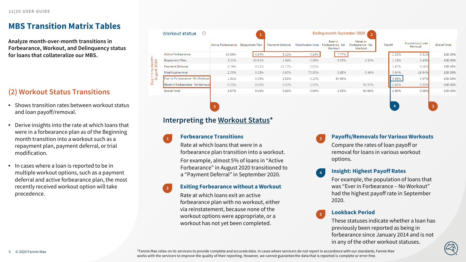# **MBS Transition Matrix Tables**

**Analyze month-over-month transitions in Forbearance, Workout, and Delinquency status for loans that collateralize our MBS.**

# **(2) Workout Status Transitions**

- Shows transition rates between workout status and loan payoff/removal.
- Derive insights into the rate at which loans that were in a forbearance plan as of the Beginning month transition into a workout such as a repayment plan, payment deferral, or trial modification.
- In cases where a loan is reported to be in multiple workout options, such as a payment deferral and active forbearance plan, the most recently received workout option will take precedence.

| Workout status                    | (2) | Ending month: September 2020<br>$\mathcal{D}$ |                |                         |                    |                                        |                                         |        |                             |                    |  |
|-----------------------------------|-----|-----------------------------------------------|----------------|-------------------------|--------------------|----------------------------------------|-----------------------------------------|--------|-----------------------------|--------------------|--|
|                                   |     | <b>Active Forbearance</b>                     | Repayment Plan | <b>Payment Deferral</b> | Modification trial | Ever in<br>Forbearance - No<br>Workout | Never in<br>Forbearance - No<br>Workout | Payoff | Involuntary Loan<br>Removal | <b>Grand Total</b> |  |
| <b>Active Forbearance</b>         |     | 84.89%                                        | 0.34%          | 5.11%                   | 0.26%              | 7.77%                                  |                                         | 1.31%  | 0.31%                       | 100.00%            |  |
| Repayment Plan                    |     | 3.21%                                         | 80.61%         | 1.94%                   | 0.28%              | 8.03%                                  | 4.30%                                   | 1.19%  | 0.43%                       | 100.00%            |  |
| <b>Payment Deferral</b>           |     | 5.74%                                         | 0.01%          | 92.72%                  | 0.01%              |                                        |                                         | 1.47%  | 0.06%                       | 100.00%            |  |
| Modification trial                |     | 2.00%                                         | 0.03%          | 0.60%                   | 70.30%             | 3.83%                                  | 2.46%                                   | 0.84%  | 19.94%                      | 100.00%            |  |
| Ever in Forbearance - No Workout  |     | 1.91%                                         | 0.05%          | 2.52%                   | 0.10%              | 90.96%                                 |                                         | 3.89%  | 0.57%                       | 100.00%            |  |
| Never in Forbearance - No Workout |     | 0.15%                                         | 0.00%          | 0.00%                   | 0.00%              |                                        | 96.97%                                  | 2.85%  | 0.02%                       | 100.00%            |  |
| <b>Grand Total</b>                |     | 3.67%                                         | 0.05%          | 0.81%                   | 0.05%              | 2.03%                                  | 90.55%                                  | 2.80%  | 0.05%                       | 100.00%            |  |
|                                   |     |                                               |                |                         |                    |                                        |                                         |        |                             |                    |  |
|                                   |     | 5                                             |                |                         |                    |                                        |                                         |        |                             | 3                  |  |

**4**

**5**

### **Interpreting the Workout Status\***

### **Forbearance Transitions 1 3**

**3**

Rate at which loans that were in a forbearance plan transition into a workout. For example, almost 5% of loans in "Active Forbearance" in August 2020 transitioned to a "Payment Deferral" in September 2020.

### **Exiting Forbearance without a Workout**

Rate at which loans exit an active forbearance plan with no workout, either via reinstatement, because none of the workout options were appropriate, or a workout has not yet been completed.

### **Payoffs/Removals for Various Workouts**

Compare the rates of loan payoff or removal for loans in various workout options.

### **Insight: Highest Payoff Rates**

For example, the population of loans that was "Ever in Forbearance – No Workout" had the highest payoff rate in September 2020.

### **Lookback Period**

These statuses indicate whether a loan has previously been reported as being in forbearance since January 2014 and is not in any of the other workout statuses.

\*Fannie Mae relies on its servicers to provide complete and accurate data. In cases where servicers do not report in accordance with our standards, Fannie Mae works with the servicers to improve the quality of their reporting. However, we cannot guarantee the data that is reported is complete or error-free.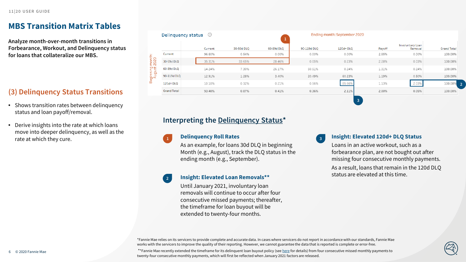# **MBS Transition Matrix Tables**

**Analyze month-over-month transitions in Forbearance, Workout, and Delinquency status for loans that collateralize our MBS.**

# **(3) Delinquency Status Transitions**

- Shows transition rates between delinquency status and loan payoff/removal.
- Derive insights into the rate at which loans move into deeper delinquency, as well as the rate at which they cure.

|                    | ⊘       |                    | Ending month: September 2020 |             |          |        |                             |                    |
|--------------------|---------|--------------------|------------------------------|-------------|----------|--------|-----------------------------|--------------------|
|                    | Current | 30-50d DLO         | 60-89d DLQ                   | 90-119d DLQ | 120d+DLO | Payoff | Involuntary Loan<br>Removal | <b>Grand Total</b> |
| Current            | 96.60%  | 0.54%              | 0.00%                        | 0.00%       | 0.00%    | 2.85%  | 0.00%                       | 100.00%            |
| 30-59d DLQ         | 35.31%  | 33.65%             | 28.46%                       | 0.05%       | 0.23%    | 2.28%  | 0.03%                       | 100.00%            |
| 60-89d DLO         | 14.24%  | 7.30%              | 26.17%                       | 50.51%      | 0.24%    | 1.31%  | 0.24%                       | 100.00%            |
| 90-119d DLO        | 12.91%  | 1.28%              | 3.40%                        | 20.49%      | 60.23%   | 1.19%  | 0.50%                       | 100.00%            |
| 120d+DLO           | 10.10%  | 0.32%              | 0.21%                        | 0.56%       | 85.66%   | 1.13%  | 2.03%                       | 100.00%            |
| <b>Grand Total</b> | 93.40%  | 0.87%              | 0.41%                        | 0.36%       | 2.11%    | 2.80%  | 0.05%                       | 100.00%            |
|                    |         | Delinquency status |                              | 1           |          |        |                             |                    |

### **Interpreting the Delinquency Status\***

### **1 Delinquency Roll Rates**

**2**

As an example, for loans 30d DLQ in beginning Month (e.g., August), track the DLQ status in the ending month (e.g., September).

### **Insight: Elevated Loan Removals\*\***

Until January 2021, involuntary loan removals will continue to occur after four consecutive missed payments; thereafter, the timeframe for loan buyout will be extended to twenty-four months.

### **Insight: Elevated 120d+ DLQ Status**

**3**

Loans in an active workout, such as a forbearance plan, are not bought out after missing four consecutive monthly payments. As a result, loans that remain in the 120d DLQ status are elevated at this time.

\*Fannie Mae relies on its servicers to provide complete and accurate data. In cases where servicers do not report in accordance with our standards, Fannie Mae works with the servicers to improve the quality of their reporting. However, we cannot guarantee the data that is reported is complete or error-free.

\*\*Fannie Mae recently extended the timeframe for its delinquent loan buyout policy (see [here](https://capmrkt.fanniemae.com/portal/funding-the-market/mbs/news/2020/sf-mbs-delinquent-loan-buyout-extension-093020.html) for details) from four consecutive missed monthly payments to twenty-four consecutive monthly payments, which will first be reflected when January 2021 factors are released.